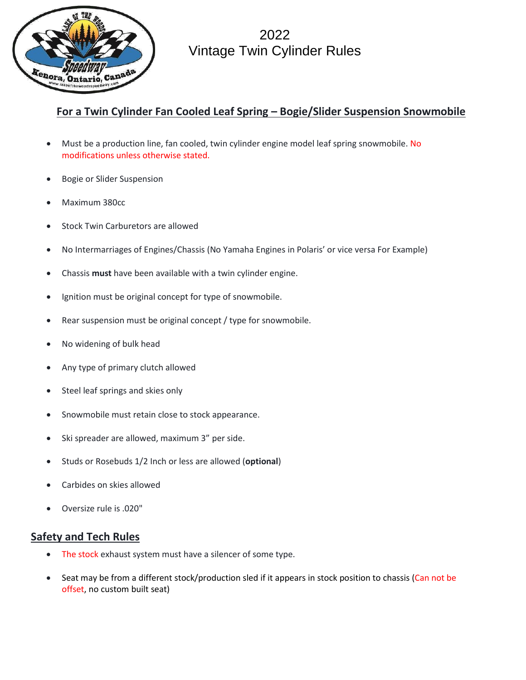

2022 Vintage Twin Cylinder Rules

## **For a Twin Cylinder Fan Cooled Leaf Spring – Bogie/Slider Suspension Snowmobile**

- Must be a production line, fan cooled, twin cylinder engine model leaf spring snowmobile. No modifications unless otherwise stated.
- Bogie or Slider Suspension
- Maximum 380cc
- Stock Twin Carburetors are allowed
- No Intermarriages of Engines/Chassis (No Yamaha Engines in Polaris' or vice versa For Example)
- Chassis **must** have been available with a twin cylinder engine.
- Ignition must be original concept for type of snowmobile.
- Rear suspension must be original concept / type for snowmobile.
- No widening of bulk head
- Any type of primary clutch allowed
- Steel leaf springs and skies only
- Snowmobile must retain close to stock appearance.
- Ski spreader are allowed, maximum 3" per side.
- Studs or Rosebuds 1/2 Inch or less are allowed (**optional**)
- Carbides on skies allowed
- Oversize rule is .020"

## **Safety and Tech Rules**

- The stock exhaust system must have a silencer of some type.
- Seat may be from a different stock/production sled if it appears in stock position to chassis (Can not be offset, no custom built seat)